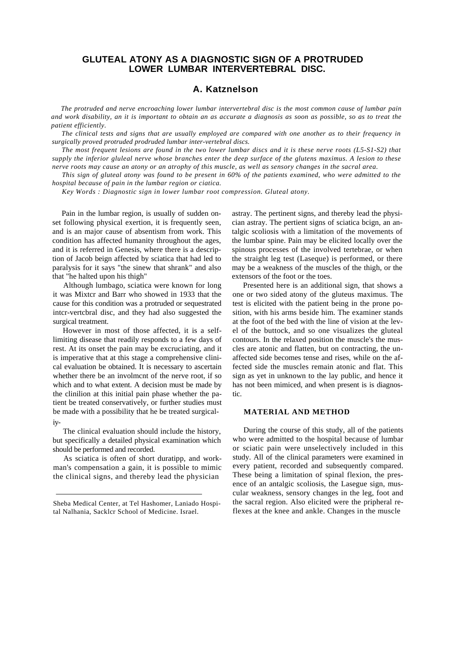## **GLUTEAL ATONY AS A DIAGNOSTIC SIGN OF A PROTRUDED LOWER LUMBAR INTERVERTEBRAL DISC.**

# **A. Katznelson**

*The protruded and nerve encroaching lower lumbar intervertebral disc is the most common cause of lumbar pain and work disability, an it is important to obtain an as accurate a diagnosis as soon as possible, so as to treat the patient efficiently.*

*The clinical tests and signs that are usually employed are compared with one another as to their frequency in surgically proved protruded prodruded lumbar inter-vertebral discs.*

*The most frequent lesions are found in the two lower lumbar discs and it is these nerve roots (L5-S1-S2) that supply the inferior gluleal nerve whose branches enter the deep surface of the glutens maximus. A lesion to these nerve roots may cause an atony or an atrophy of this muscle, as well as sensory changes in the sacral area.*

*This sign of gluteal atony was found to be present in 60% of the patients examined, who were admitted to the hospital because of pain in the lumbar region or ciatica.*

*Key Words : Diagnostic sign in lower lumbar root compression. Gluteal atony.*

Pain in the lumbar region, is usually of sudden onset following physical exertion, it is frequently seen, and is an major cause of absentism from work. This condition has affected humanity throughout the ages, and it is referred in Genesis, where there is a description of Jacob beign affected by sciatica that had led to paralysis for it says "the sinew that shrank" and also that "he halted upon his thigh"

Although lumbago, sciatica were known for long it was Mixtcr and Barr who showed in 1933 that the cause for this condition was a protruded or sequestrated intcr-vertcbral disc, and they had also suggested the surgical treatment.

However in most of those affected, it is a selflimiting disease that readily responds to a few days of rest. At its onset the pain may be excruciating, and it is imperative that at this stage a comprehensive clinical evaluation be obtained. It is necessary to ascertain whether there be an involment of the nerve root, if so which and to what extent. A decision must be made by the clinilion at this initial pain phase whether the patient be treated conservatively, or further studies must be made with a possibility that he be treated surgicaliy-

The clinical evaluation should include the history, but specifically a detailed physical examination which should be performed and recorded.

As sciatica is often of short duratipp, and workman's compensation a gain, it is possible to mimic the clinical signs, and thereby lead the physician

astray. The pertinent signs, and thereby lead the physician astray. The pertient signs of sciatica bcign, an antalgic scoliosis with a limitation of the movements of the lumbar spine. Pain may be elicited locally over the spinous processes of the involved tertebrae, or when the straight leg test (Laseque) is performed, or there may be a weakness of the muscles of the thigh, or the extensors of the foot or the toes.

Presented here is an additional sign, that shows a one or two sided atony of the gluteus maximus. The test is elicited with the patient being in the prone position, with his arms beside him. The examiner stands at the foot of the bed with the line of vision at the level of the buttock, and so one visualizes the gluteal contours. In the relaxed position the muscle's the muscles are atonic and flatten, but on contracting, the unaffected side becomes tense and rises, while on the affected side the muscles remain atonic and flat. This sign as yet in unknown to the lay public, and hence it has not been mimiced, and when present is is diagnostic.

### **MATERIAL AND METHOD**

During the course of this study, all of the patients who were admitted to the hospital because of lumbar or sciatic pain were unselectively included in this study. All of the clinical parameters were examined in every patient, recorded and subsequently compared. These being a limitation of spinal flexion, the presence of an antalgic scoliosis, the Lasegue sign, muscular weakness, sensory changes in the leg, foot and the sacral region. Also elicited were the pripheral reflexes at the knee and ankle. Changes in the muscle

Sheba Medical Center, at Tel Hashomer, Laniado Hospital Nalhania, Sacklcr School of Medicine. Israel.